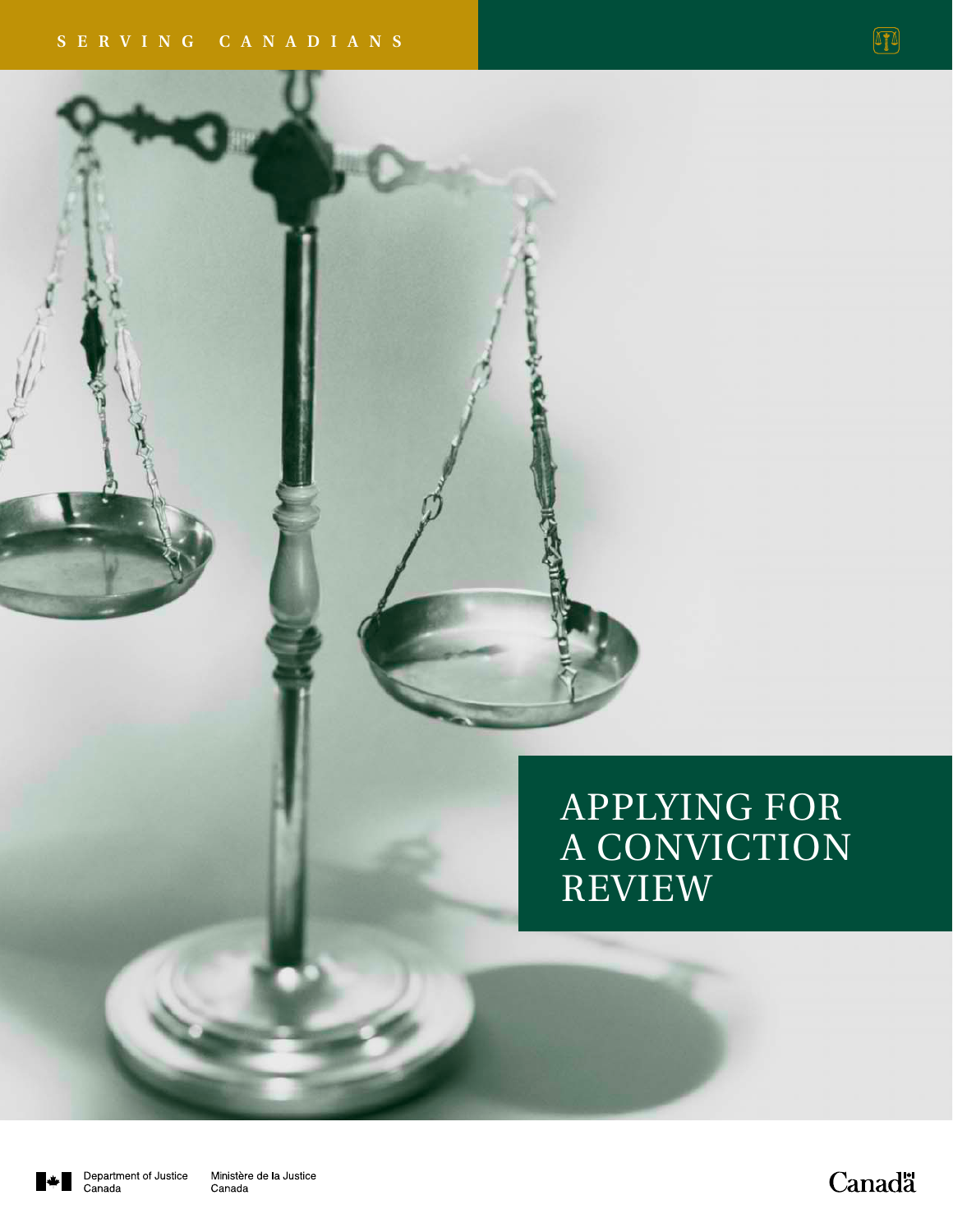# APPLYING FOR A CONVICTION REVIEW

**Canadä**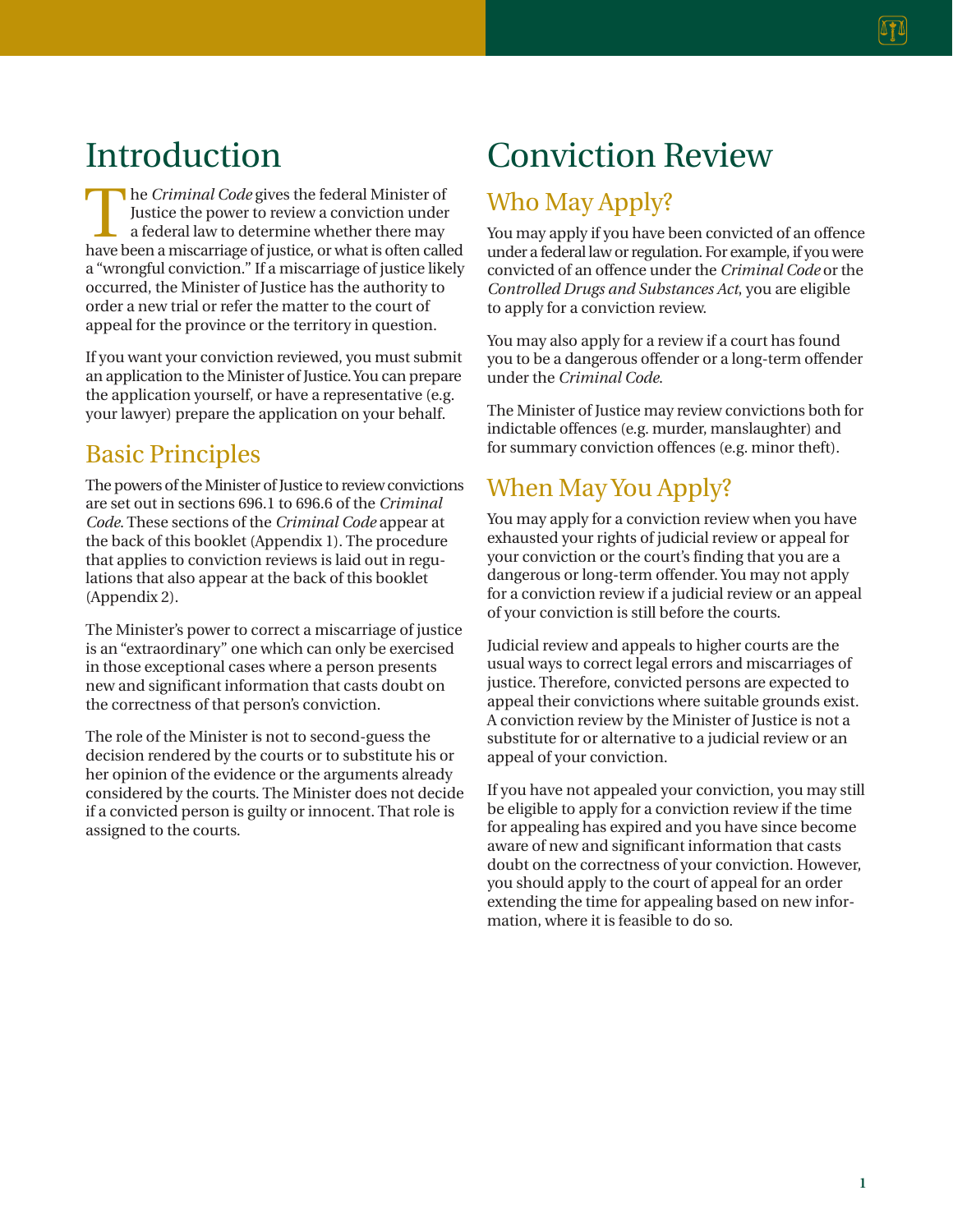## Introduction

The *Criminal Code* gives the federal Minister of Justice the power to review a conviction under a federal law to determine whether there may have been a miscarriage of justice, or what is often called a "wrongful conviction." If a miscarriage of justice likely occurred, the Minister of Justice has the authority to order a new trial or refer the matter to the court of appeal for the province or the territory in question.

If you want your conviction reviewed, you must submit an application to the Minister of Justice. You can prepare the application yourself, or have a representative (e.g. your lawyer) prepare the application on your behalf.

### Basic Principles

The powers of the Minister of Justice to review convictions are set out in sections 696.1 to 696.6 of the *Criminal Code*. These sections of the *Criminal Code* appear at the back of this booklet (Appendix 1). The procedure that applies to conviction reviews is laid out in regulations that also appear at the back of this booklet (Appendix 2).

The Minister's power to correct a miscarriage of justice is an "extraordinary" one which can only be exercised in those exceptional cases where a person presents new and significant information that casts doubt on the correctness of that person's conviction.

The role of the Minister is not to second-guess the decision rendered by the courts or to substitute his or her opinion of the evidence or the arguments already considered by the courts. The Minister does not decide if a convicted person is guilty or innocent. That role is assigned to the courts.

# Conviction Review

### Who May Apply?

You may apply if you have been convicted of an offence under a federal law or regulation. For example, if you were convicted of an offence under the *Criminal Code* or the *Controlled Drugs and Substances Act*, you are eligible to apply for a conviction review.

You may also apply for a review if a court has found you to be a dangerous offender or a long-term offender under the *Criminal Code*.

The Minister of Justice may review convictions both for indictable offences (e.g. murder, manslaughter) and for summary conviction offences (e.g. minor theft).

### When May You Apply?

You may apply for a conviction review when you have exhausted your rights of judicial review or appeal for your conviction or the court's finding that you are a dangerous or long-term offender. You may not apply for a conviction review if a judicial review or an appeal of your conviction is still before the courts.

Judicial review and appeals to higher courts are the usual ways to correct legal errors and miscarriages of justice. Therefore, convicted persons are expected to appeal their convictions where suitable grounds exist. A conviction review by the Minister of Justice is not a substitute for or alternative to a judicial review or an appeal of your conviction.

If you have not appealed your conviction, you may still be eligible to apply for a conviction review if the time for appealing has expired and you have since become aware of new and significant information that casts doubt on the correctness of your conviction. However, you should apply to the court of appeal for an order extending the time for appealing based on new information, where it is feasible to do so.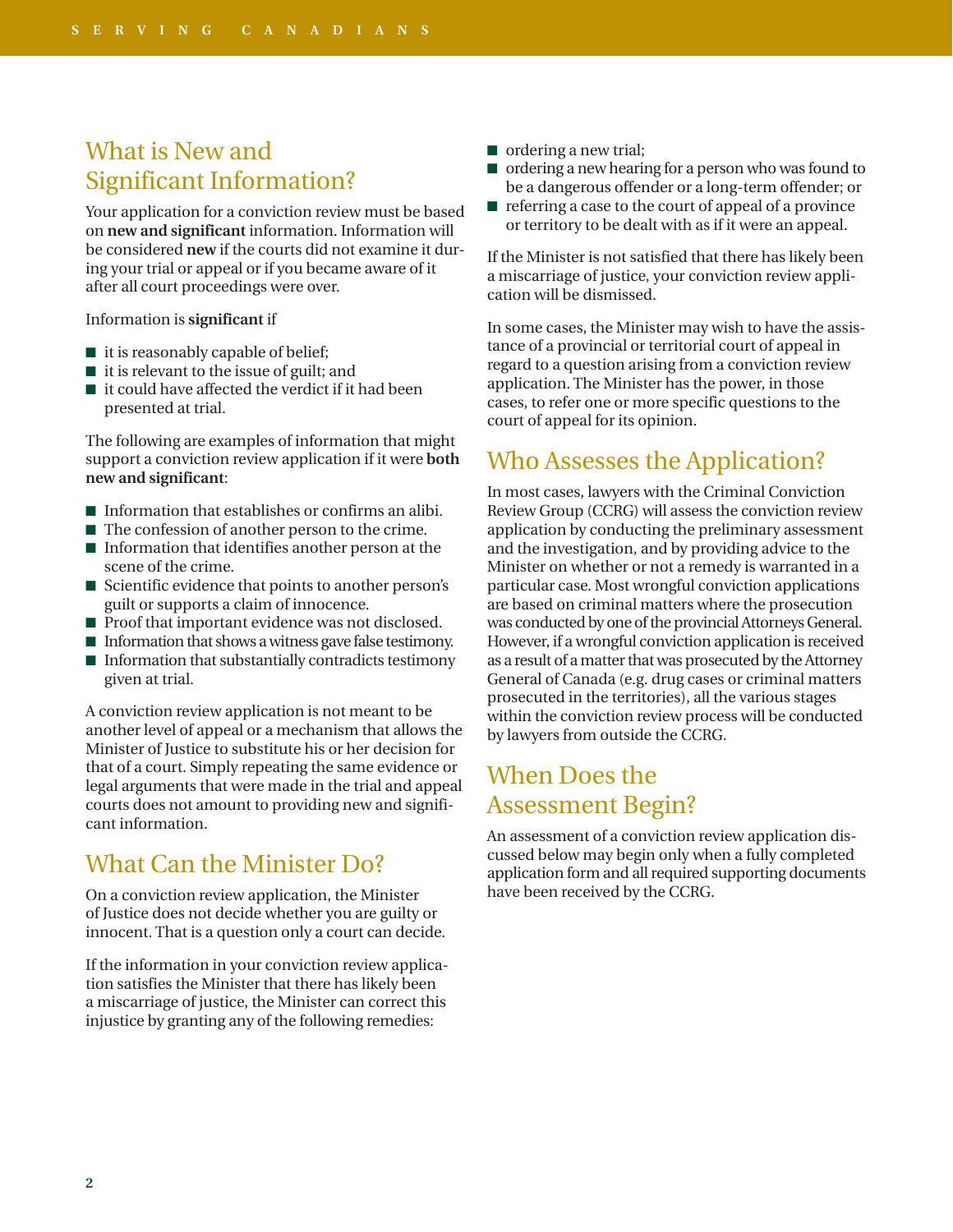### What is New and Significant Information?

Your application for a conviction review must be based on **new and significant** information. Information will be considered **new** if the courts did not examine it during your trial or appeal or if you became aware of it after all court proceedings were over.

Information is **significant** if

- it is reasonably capable of belief;
- it is relevant to the issue of guilt; and
- $\blacksquare$  it could have affected the verdict if it had been presented at trial.

The following are examples of information that might support a conviction review application if it were **both new and significant**:

- Information that establishes or confirms an alibi.
- The confession of another person to the crime.
- Information that identifies another person at the scene of the crime.
- Scientific evidence that points to another person's guilt or supports a claim of innocence.
- Proof that important evidence was not disclosed.
- Information that shows a witness gave false testimony.
- Information that substantially contradicts testimony given at trial.

A conviction review application is not meant to be another level of appeal or a mechanism that allows the Minister of Justice to substitute his or her decision for that of a court. Simply repeating the same evidence or legal arguments that were made in the trial and appeal courts does not amount to providing new and significant information.

### What Can the Minister Do?

On a conviction review application, the Minister of Justice does not decide whether you are guilty or innocent. That is a question only a court can decide.

If the information in your conviction review application satisfies the Minister that there has likely been a miscarriage of justice, the Minister can correct this injustice by granting any of the following remedies:

- ordering a new trial;
- ordering a new hearing for a person who was found to be a dangerous offender or a long-term offender; or
- referring a case to the court of appeal of a province or territory to be dealt with as if it were an appeal.

If the Minister is not satisfied that there has likely been a miscarriage of justice, your conviction review application will be dismissed.

In some cases, the Minister may wish to have the assistance of a provincial or territorial court of appeal in regard to a question arising from a conviction review application. The Minister has the power, in those cases, to refer one or more specific questions to the court of appeal for its opinion.

### Who Assesses the Application?

In most cases, lawyers with the Criminal Conviction Review Group (CCRG) will assess the conviction review application by conducting the preliminary assessment and the investigation, and by providing advice to the Minister on whether or not a remedy is warranted in a particular case. Most wrongful conviction applications are based on criminal matters where the prosecution was conducted by one of the provincial Attorneys General. However, if a wrongful conviction application is received as a result of a matter that was prosecuted by the Attorney General of Canada (e.g. drug cases or criminal matters prosecuted in the territories), all the various stages within the conviction review process will be conducted by lawyers from outside the CCRG.

### When Does the Assessment Begin?

An assessment of a conviction review application discussed below may begin only when a fully completed application form and all required supporting documents have been received by the CCRG.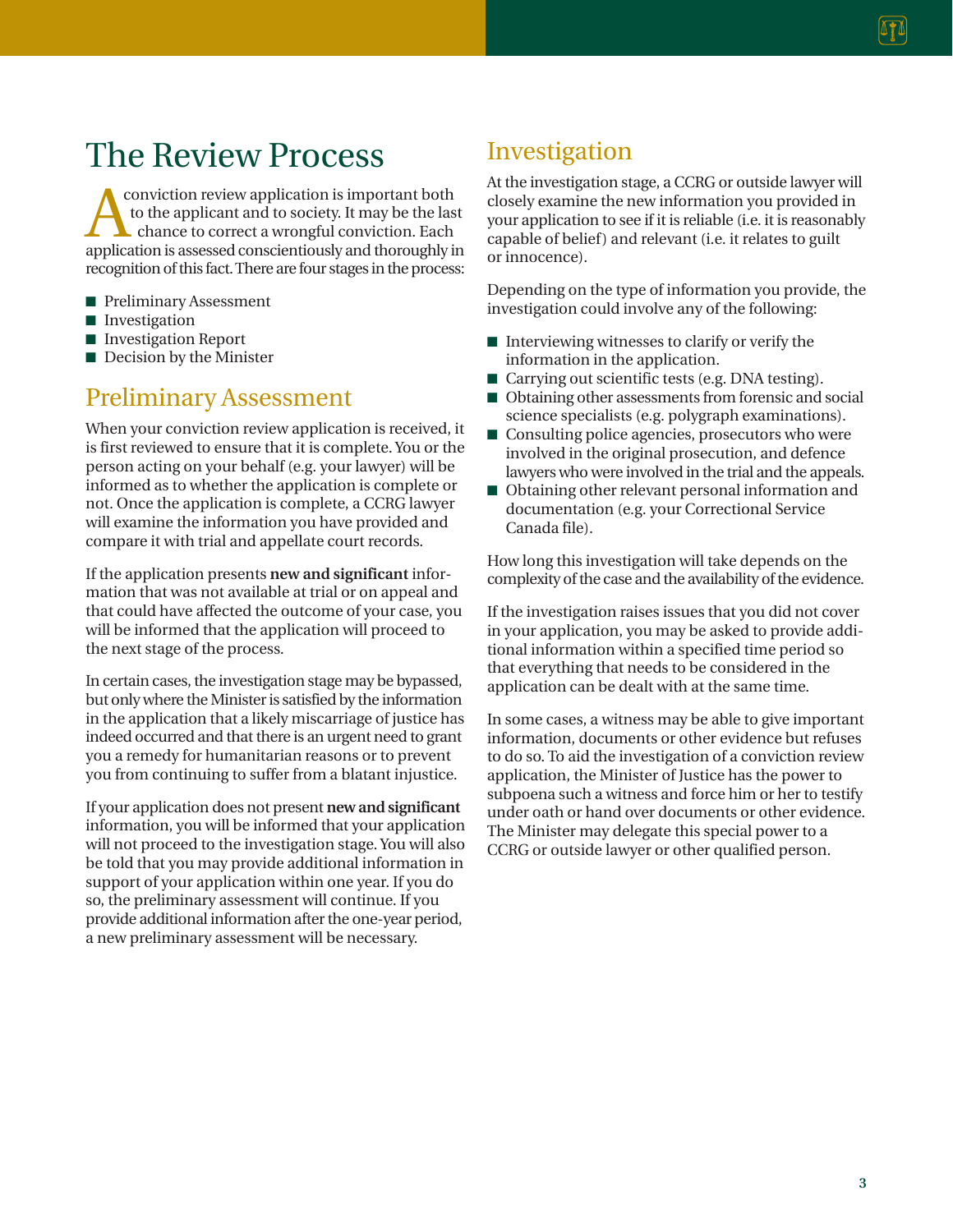## The Review Process

**A** conviction review application is important both<br>to the applicant and to society. It may be the last<br>chance to correct a wrongful conviction. Each<br>application is assessed conscientiously and thoroughly in conviction review application is important both to the applicant and to society. It may be the last **L** chance to correct a wrongful conviction. Each recognition of this fact. There are four stages in the process:

- Preliminary Assessment
- Investigation
- Investigation Report
- Decision by the Minister

### Preliminary Assessment

When your conviction review application is received, it is first reviewed to ensure that it is complete. You or the person acting on your behalf (e.g. your lawyer) will be informed as to whether the application is complete or not. Once the application is complete, a CCRG lawyer will examine the information you have provided and compare it with trial and appellate court records.

If the application presents **new and significant** information that was not available at trial or on appeal and that could have affected the outcome of your case, you will be informed that the application will proceed to the next stage of the process.

In certain cases, the investigation stage may be bypassed, but only where the Minister is satisfied by the information in the application that a likely miscarriage of justice has indeed occurred and that there is an urgent need to grant you a remedy for humanitarian reasons or to prevent you from continuing to suffer from a blatant injustice.

If your application does not present **new and significant** information, you will be informed that your application will not proceed to the investigation stage. You will also be told that you may provide additional information in support of your application within one year. If you do so, the preliminary assessment will continue. If you provide additional information after the one-year period, a new preliminary assessment will be necessary.

### Investigation

At the investigation stage, a CCRG or outside lawyer will closely examine the new information you provided in your application to see if it is reliable (i.e. it is reasonably capable of belief) and relevant (i.e. it relates to guilt or innocence).

Depending on the type of information you provide, the investigation could involve any of the following:

- Interviewing witnesses to clarify or verify the information in the application.
- Carrying out scientific tests (e.g. DNA testing).
- Obtaining other assessments from forensic and social science specialists (e.g. polygraph examinations).
- Consulting police agencies, prosecutors who were involved in the original prosecution, and defence lawyers who were involved in the trial and the appeals.
- Obtaining other relevant personal information and documentation (e.g. your Correctional Service Canada file).

How long this investigation will take depends on the complexity of the case and the availability of the evidence.

If the investigation raises issues that you did not cover in your application, you may be asked to provide additional information within a specified time period so that everything that needs to be considered in the application can be dealt with at the same time.

In some cases, a witness may be able to give important information, documents or other evidence but refuses to do so. To aid the investigation of a conviction review application, the Minister of Justice has the power to subpoena such a witness and force him or her to testify under oath or hand over documents or other evidence. The Minister may delegate this special power to a CCRG or outside lawyer or other qualified person.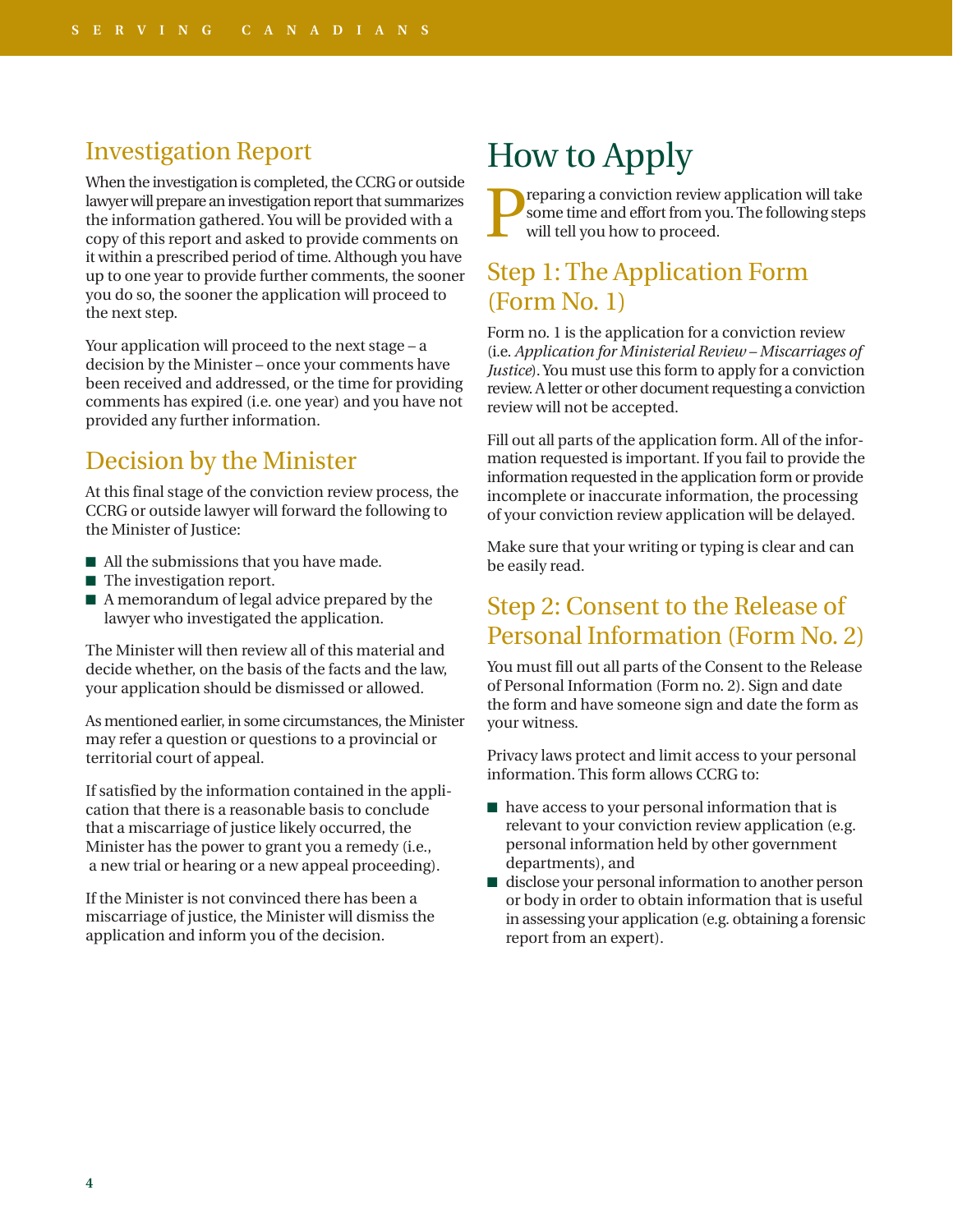### Investigation Report

When the investigation is completed, the CCRG or outside lawyer will prepare an investigation report that summarizes the information gathered. You will be provided with a copy of this report and asked to provide comments on it within a prescribed period of time. Although you have up to one year to provide further comments, the sooner you do so, the sooner the application will proceed to the next step.

Your application will proceed to the next stage – a decision by the Minister – once your comments have been received and addressed, or the time for providing comments has expired (i.e. one year) and you have not provided any further information.

### Decision by the Minister

At this final stage of the conviction review process, the CCRG or outside lawyer will forward the following to the Minister of Justice:

- All the submissions that you have made.
- The investigation report.
- A memorandum of legal advice prepared by the lawyer who investigated the application.

The Minister will then review all of this material and decide whether, on the basis of the facts and the law, your application should be dismissed or allowed.

As mentioned earlier, in some circumstances, the Minister may refer a question or questions to a provincial or territorial court of appeal.

If satisfied by the information contained in the application that there is a reasonable basis to conclude that a miscarriage of justice likely occurred, the Minister has the power to grant you a remedy (i.e., a new trial or hearing or a new appeal proceeding).

If the Minister is not convinced there has been a miscarriage of justice, the Minister will dismiss the application and inform you of the decision.

# How to Apply

Preparing a conviction review application will take<br>some time and effort from you. The following steps<br>will tell you how to proceed. some time and effort from you. The following steps will tell you how to proceed.

### Step 1: The Application Form (Form No. 1)

Form no. 1 is the application for a conviction review (i.e. *Application for Ministerial Review – Miscarriages of Justice*). You must use this form to apply for a conviction review. A letter or other document requesting a conviction review will not be accepted.

Fill out all parts of the application form. All of the information requested is important. If you fail to provide the information requested in the application form or provide incomplete or inaccurate information, the processing of your conviction review application will be delayed.

Make sure that your writing or typing is clear and can be easily read.

### Step 2: Consent to the Release of Personal Information (Form No. 2)

You must fill out all parts of the Consent to the Release of Personal Information (Form no. 2). Sign and date the form and have someone sign and date the form as your witness.

Privacy laws protect and limit access to your personal information. This form allows CCRG to:

- have access to your personal information that is relevant to your conviction review application (e.g. personal information held by other government departments), and
- disclose your personal information to another person or body in order to obtain information that is useful in assessing your application (e.g. obtaining a forensic report from an expert).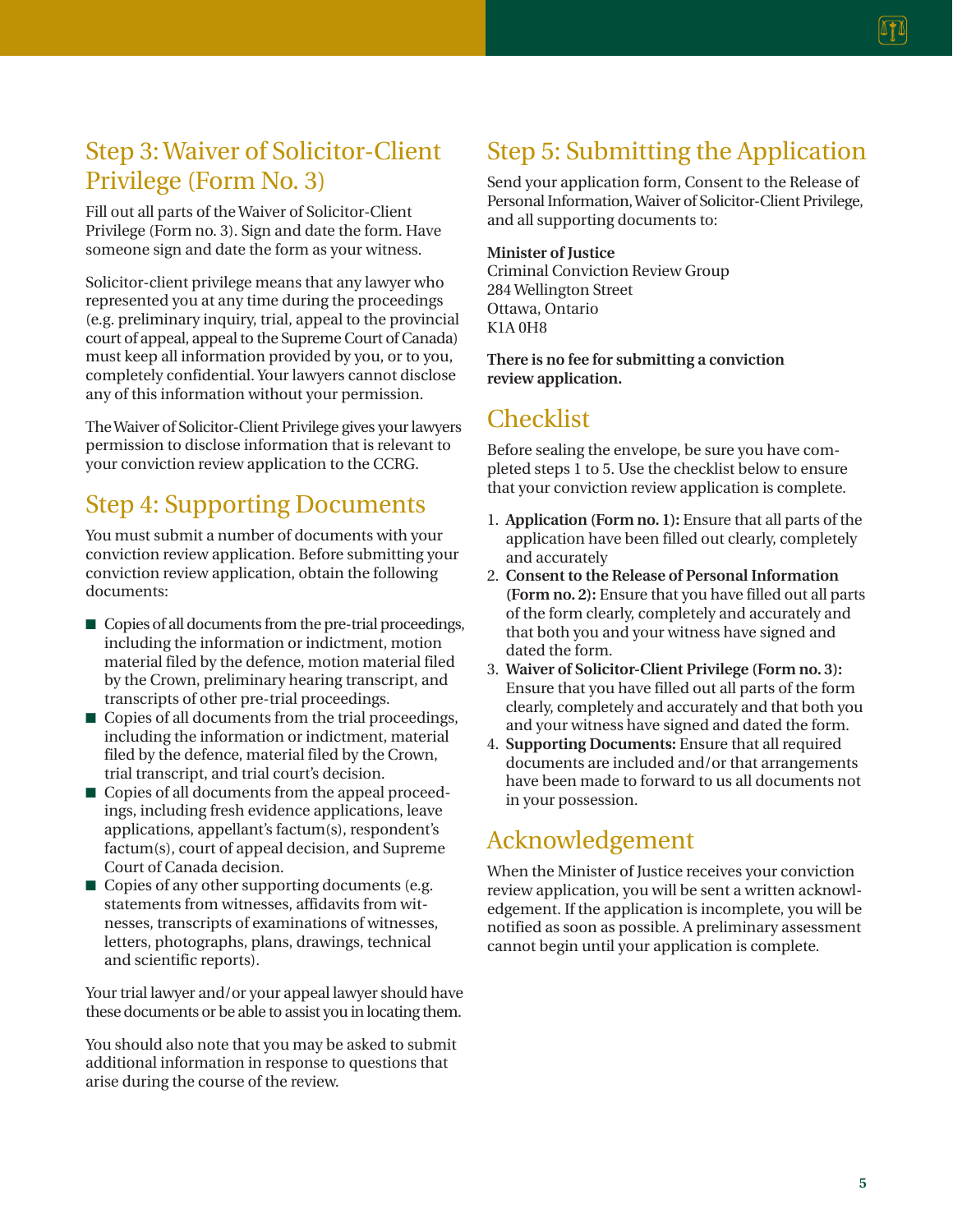### Step 3: Waiver of Solicitor-Client Privilege (Form No. 3)

Fill out all parts of the Waiver of Solicitor-Client Privilege (Form no. 3). Sign and date the form. Have someone sign and date the form as your witness.

Solicitor-client privilege means that any lawyer who represented you at any time during the proceedings (e.g. preliminary inquiry, trial, appeal to the provincial court of appeal, appeal to the Supreme Court of Canada) must keep all information provided by you, or to you, completely confidential. Your lawyers cannot disclose any of this information without your permission.

The Waiver of Solicitor-Client Privilege gives your lawyers permission to disclose information that is relevant to your conviction review application to the CCRG.

### Step 4: Supporting Documents

You must submit a number of documents with your conviction review application. Before submitting your conviction review application, obtain the following documents:

- Copies of all documents from the pre-trial proceedings, including the information or indictment, motion material filed by the defence, motion material filed by the Crown, preliminary hearing transcript, and transcripts of other pre-trial proceedings.
- Copies of all documents from the trial proceedings, including the information or indictment, material filed by the defence, material filed by the Crown, trial transcript, and trial court's decision.
- Copies of all documents from the appeal proceedings, including fresh evidence applications, leave applications, appellant's factum(s), respondent's factum(s), court of appeal decision, and Supreme Court of Canada decision.
- Copies of any other supporting documents (e.g. statements from witnesses, affidavits from witnesses, transcripts of examinations of witnesses, letters, photographs, plans, drawings, technical and scientific reports).

Your trial lawyer and/or your appeal lawyer should have these documents or be able to assist you in locating them.

You should also note that you may be asked to submit additional information in response to questions that arise during the course of the review.

### Step 5: Submitting the Application

Send your application form, Consent to the Release of Personal Information, Waiver of Solicitor-Client Privilege, and all supporting documents to:

#### **Minister of Justice**

Criminal Conviction Review Group 284 Wellington Street Ottawa, Ontario K1A 0H8

**There is no fee for submitting a conviction review application.**

### **Checklist**

Before sealing the envelope, be sure you have completed steps 1 to 5. Use the checklist below to ensure that your conviction review application is complete.

- 1. **Application (Form no. 1):** Ensure that all parts of the application have been filled out clearly, completely and accurately
- 2. **Consent to the Release of Personal Information (Form no. 2):** Ensure that you have filled out all parts of the form clearly, completely and accurately and that both you and your witness have signed and dated the form.
- 3. **Waiver of Solicitor-Client Privilege (Form no. 3):** Ensure that you have filled out all parts of the form clearly, completely and accurately and that both you and your witness have signed and dated the form.
- 4. **Supporting Documents:** Ensure that all required documents are included and/or that arrangements have been made to forward to us all documents not in your possession.

### Acknowledgement

When the Minister of Justice receives your conviction review application, you will be sent a written acknowledgement. If the application is incomplete, you will be notified as soon as possible. A preliminary assessment cannot begin until your application is complete.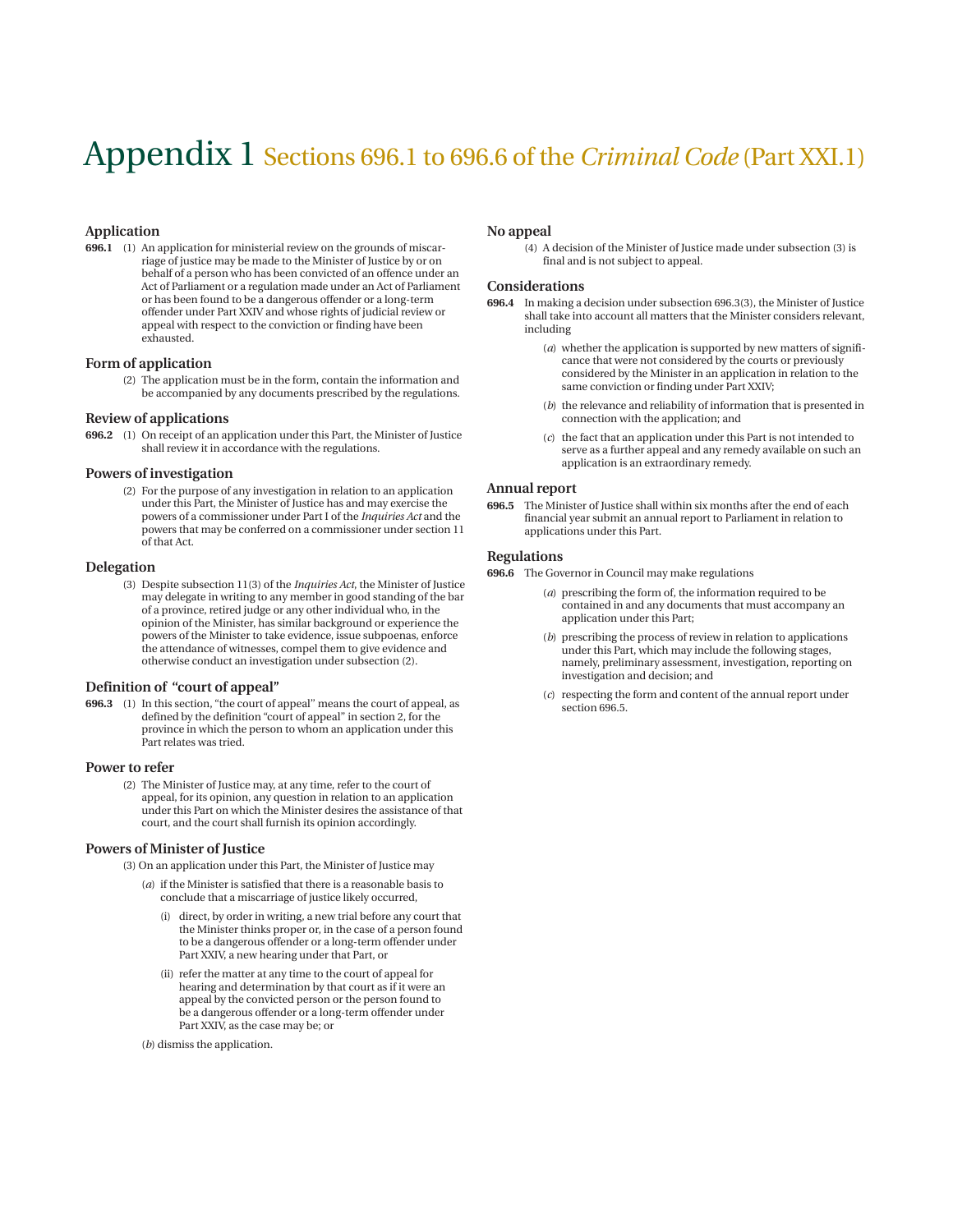## Appendix 1 Sections 696.1 to 696.6 of the *Criminal Code* (Part XXI.1)

#### **Application**

**696.1** (1) An application for ministerial review on the grounds of miscarriage of justice may be made to the Minister of Justice by or on behalf of a person who has been convicted of an offence under an Act of Parliament or a regulation made under an Act of Parliament or has been found to be a dangerous offender or a long-term offender under Part XXIV and whose rights of judicial review or appeal with respect to the conviction or finding have been exhausted.

#### **Form of application**

(2) The application must be in the form, contain the information and be accompanied by any documents prescribed by the regulations.

#### **Review of applications**

**696.2** (1) On receipt of an application under this Part, the Minister of Justice shall review it in accordance with the regulations.

#### **Powers of investigation**

(2) For the purpose of any investigation in relation to an application under this Part, the Minister of Justice has and may exercise the powers of a commissioner under Part I of the *Inquiries Act* and the powers that may be conferred on a commissioner under section 11 of that Act.

#### **Delegation**

(3) Despite subsection 11(3) of the *Inquiries Act*, the Minister of Justice may delegate in writing to any member in good standing of the bar of a province, retired judge or any other individual who, in the opinion of the Minister, has similar background or experience the powers of the Minister to take evidence, issue subpoenas, enforce the attendance of witnesses, compel them to give evidence and otherwise conduct an investigation under subsection (2).

#### **Definition of "court of appeal''**

**696.3** (1) In this section, "the court of appeal'' means the court of appeal, as defined by the definition "court of appeal'' in section 2, for the province in which the person to whom an application under this Part relates was tried.

#### **Power to refer**

(2) The Minister of Justice may, at any time, refer to the court of appeal, for its opinion, any question in relation to an application under this Part on which the Minister desires the assistance of that court, and the court shall furnish its opinion accordingly.

#### **Powers of Minister of Justice**

- (3) On an application under this Part, the Minister of Justice may
	- (*a*) if the Minister is satisfied that there is a reasonable basis to conclude that a miscarriage of justice likely occurred,
		- (i) direct, by order in writing, a new trial before any court that the Minister thinks proper or, in the case of a person found to be a dangerous offender or a long-term offender under Part XXIV, a new hearing under that Part, or
		- (ii) refer the matter at any time to the court of appeal for hearing and determination by that court as if it were an appeal by the convicted person or the person found to be a dangerous offender or a long-term offender under Part XXIV, as the case may be; or

(*b*) dismiss the application.

#### **No appeal**

(4) A decision of the Minister of Justice made under subsection (3) is final and is not subject to appeal.

#### **Considerations**

- **696.4** In making a decision under subsection 696.3(3), the Minister of Justice shall take into account all matters that the Minister considers relevant, including
	- (*a*) whether the application is supported by new matters of significance that were not considered by the courts or previously considered by the Minister in an application in relation to the same conviction or finding under Part XXIV;
	- (*b*) the relevance and reliability of information that is presented in connection with the application; and
	- (*c*) the fact that an application under this Part is not intended to serve as a further appeal and any remedy available on such an application is an extraordinary remedy.

#### **Annual report**

**696.5** The Minister of Justice shall within six months after the end of each financial year submit an annual report to Parliament in relation to applications under this Part.

#### **Regulations**

**696.6** The Governor in Council may make regulations

- (*a*) prescribing the form of, the information required to be contained in and any documents that must accompany an application under this Part;
- (*b*) prescribing the process of review in relation to applications under this Part, which may include the following stages, namely, preliminary assessment, investigation, reporting on investigation and decision; and
- (*c*) respecting the form and content of the annual report under section 696.5.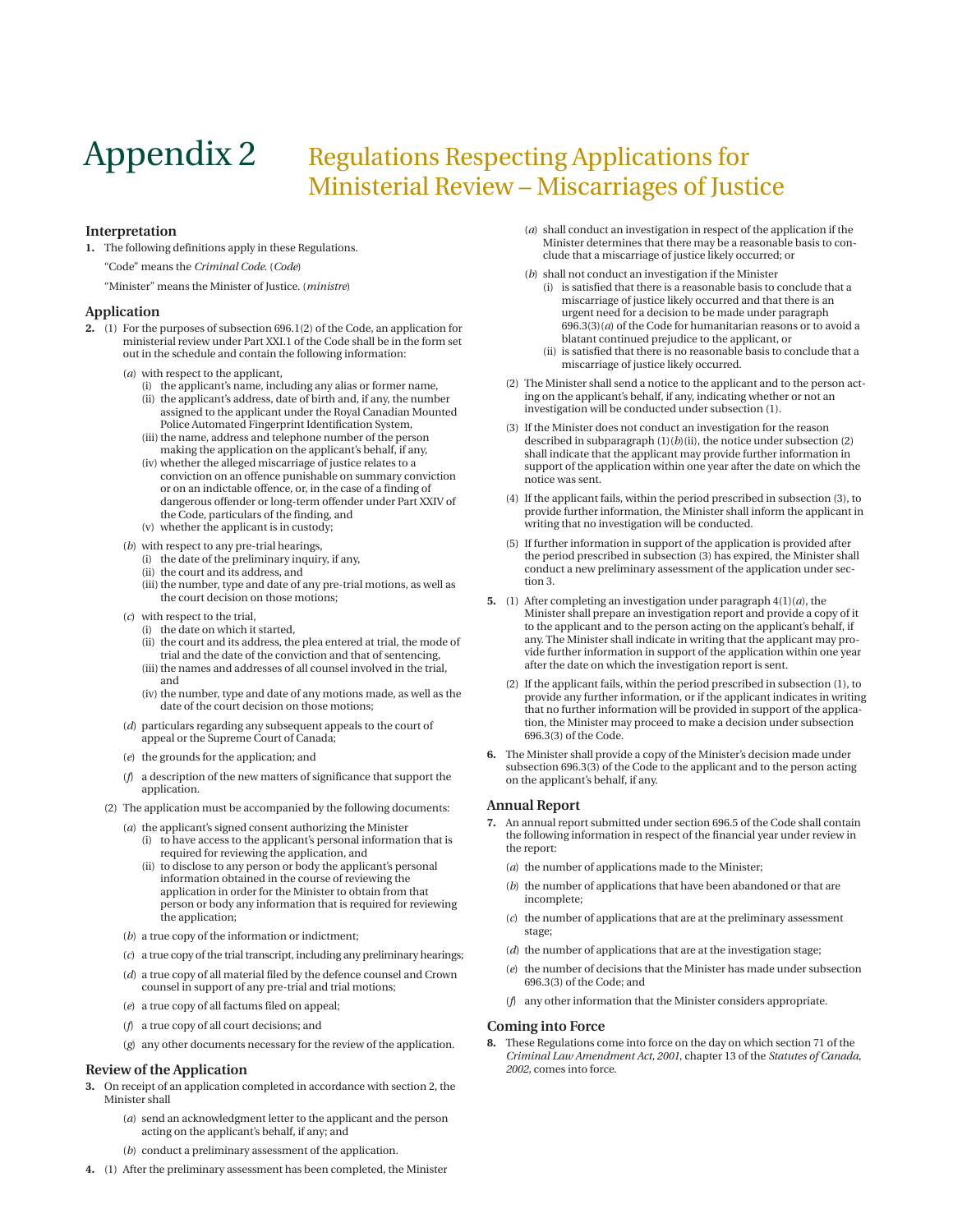### Appendix 2 Regulations Respecting Applications for Ministerial Review – Miscarriages of Justice

#### **Interpretation**

**1.** The following definitions apply in these Regulations. "Code" means the *Criminal Code*. (*Code*)

"Minister" means the Minister of Justice. (*ministre*)

#### **Application**

- **2.** (1) For the purposes of subsection 696.1(2) of the Code, an application for ministerial review under Part XXI.1 of the Code shall be in the form set out in the schedule and contain the following information:
	- (*a*) with respect to the applicant,
		- (i) the applicant's name, including any alias or former name, (ii) the applicant's address, date of birth and, if any, the number assigned to the applicant under the Royal Canadian Mounted Police Automated Fingerprint Identification System,
		- (iii) the name, address and telephone number of the person making the application on the applicant's behalf, if any,
		- (iv) whether the alleged miscarriage of justice relates to a conviction on an offence punishable on summary conviction or on an indictable offence, or, in the case of a finding of dangerous offender or long-term offender under Part XXIV of the Code, particulars of the finding, and
		- (v) whether the applicant is in custody;
	- (*b*) with respect to any pre-trial hearings,
		- (i) the date of the preliminary inquiry, if any,
		- (ii) the court and its address, and
		- (iii) the number, type and date of any pre-trial motions, as well as the court decision on those motions;
	- (*c*) with respect to the trial,
		- (i) the date on which it started,
		- (ii) the court and its address, the plea entered at trial, the mode of trial and the date of the conviction and that of sentencing,
		- (iii) the names and addresses of all counsel involved in the trial, and
		- (iv) the number, type and date of any motions made, as well as the date of the court decision on those motions;
	- (*d*) particulars regarding any subsequent appeals to the court of appeal or the Supreme Court of Canada;
	- (*e*) the grounds for the application; and
	- (*f*) a description of the new matters of significance that support the application.
	- (2) The application must be accompanied by the following documents:
		- (*a*) the applicant's signed consent authorizing the Minister (i) to have access to the applicant's personal information that is required for reviewing the application, and
			- (ii) to disclose to any person or body the applicant's personal information obtained in the course of reviewing the application in order for the Minister to obtain from that person or body any information that is required for reviewing the application;
		- (*b*) a true copy of the information or indictment;
		- (*c*) a true copy of the trial transcript, including any preliminary hearings;
		- (*d*) a true copy of all material filed by the defence counsel and Crown counsel in support of any pre-trial and trial motions;
		- (*e*) a true copy of all factums filed on appeal;
		- (*f*) a true copy of all court decisions; and
		- (*g*) any other documents necessary for the review of the application.

#### **Review of the Application**

- **3.** On receipt of an application completed in accordance with section 2, the Minister shall
	- (*a*) send an acknowledgment letter to the applicant and the person acting on the applicant's behalf, if any; and
	- (*b*) conduct a preliminary assessment of the application.
- **4.** (1) After the preliminary assessment has been completed, the Minister
- (*a*) shall conduct an investigation in respect of the application if the Minister determines that there may be a reasonable basis to conclude that a miscarriage of justice likely occurred; or
- (*b*) shall not conduct an investigation if the Minister
	- (i) is satisfied that there is a reasonable basis to conclude that a miscarriage of justice likely occurred and that there is an urgent need for a decision to be made under paragraph 696.3(3)(*a*) of the Code for humanitarian reasons or to avoid a blatant continued prejudice to the applicant, or
	- (ii) is satisfied that there is no reasonable basis to conclude that a miscarriage of justice likely occurred.
- (2) The Minister shall send a notice to the applicant and to the person acting on the applicant's behalf, if any, indicating whether or not an investigation will be conducted under subsection (1).
- (3) If the Minister does not conduct an investigation for the reason described in subparagraph  $(1)(b)(ii)$ , the notice under subsection  $(2)$ shall indicate that the applicant may provide further information in support of the application within one year after the date on which the notice was sent.
- (4) If the applicant fails, within the period prescribed in subsection (3), to provide further information, the Minister shall inform the applicant in writing that no investigation will be conducted.
- (5) If further information in support of the application is provided after the period prescribed in subsection (3) has expired, the Minister shall conduct a new preliminary assessment of the application under section 3.
- **5.** (1) After completing an investigation under paragraph 4(1)(*a*), the Minister shall prepare an investigation report and provide a copy of it to the applicant and to the person acting on the applicant's behalf, if any. The Minister shall indicate in writing that the applicant may provide further information in support of the application within one year after the date on which the investigation report is sent.
	- (2) If the applicant fails, within the period prescribed in subsection (1), to provide any further information, or if the applicant indicates in writing that no further information will be provided in support of the application, the Minister may proceed to make a decision under subsection 696.3(3) of the Code.
- **6.** The Minister shall provide a copy of the Minister's decision made under subsection 696.3(3) of the Code to the applicant and to the person acting on the applicant's behalf, if any.

#### **Annual Report**

- **7.** An annual report submitted under section 696.5 of the Code shall contain the following information in respect of the financial year under review in the report:
	- (*a*) the number of applications made to the Minister;
	- (*b*) the number of applications that have been abandoned or that are incomplete;
	- (*c*) the number of applications that are at the preliminary assessment stage;
	- (*d*) the number of applications that are at the investigation stage;
	- (*e*) the number of decisions that the Minister has made under subsection 696.3(3) of the Code; and
	- (*f*) any other information that the Minister considers appropriate.

#### **Coming into Force**

**8.** These Regulations come into force on the day on which section 71 of the *Criminal Law Amendment Act, 2001*, chapter 13 of the *Statutes of Canada*, *2002,* comes into force.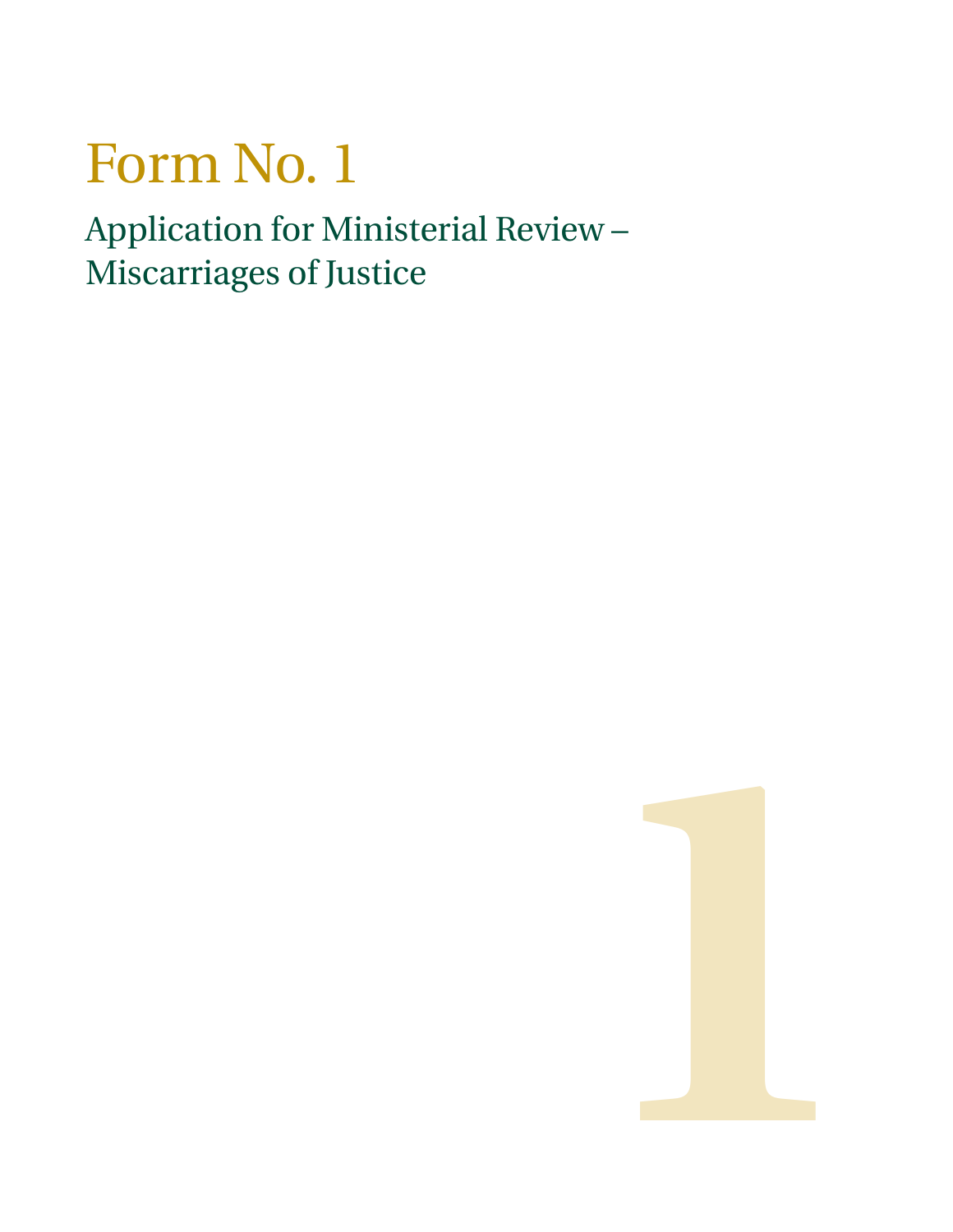# Form No. 1

Application for Ministerial Review – Miscarriages of Justice

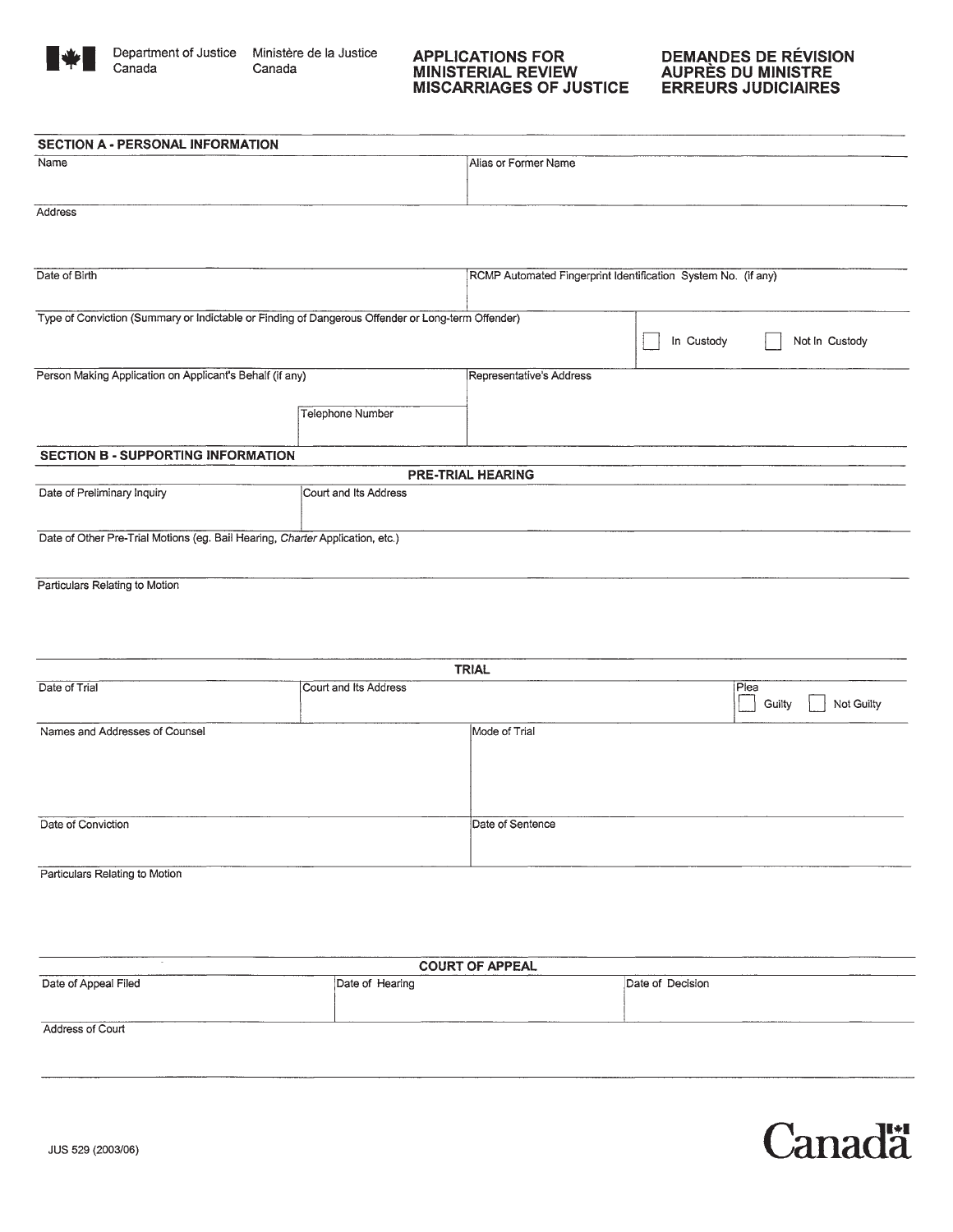

Canada

Department of Justice Ministère de la Justice Canada

### APPLICATIONS FOR<br>MINISTERIAL REVIEW **MISCARRIAGES OF JUSTICE**

| <b>SECTION A - PERSONAL INFORMATION</b>                                       |                                                                                                   |                          |                                                               |                |  |
|-------------------------------------------------------------------------------|---------------------------------------------------------------------------------------------------|--------------------------|---------------------------------------------------------------|----------------|--|
| Name                                                                          |                                                                                                   | Alias or Former Name     |                                                               |                |  |
|                                                                               |                                                                                                   |                          |                                                               |                |  |
| Address                                                                       |                                                                                                   |                          |                                                               |                |  |
|                                                                               |                                                                                                   |                          |                                                               |                |  |
| Date of Birth                                                                 |                                                                                                   |                          | RCMP Automated Fingerprint Identification System No. (if any) |                |  |
|                                                                               |                                                                                                   |                          |                                                               |                |  |
|                                                                               | Type of Conviction (Summary or Indictable or Finding of Dangerous Offender or Long-term Offender) |                          |                                                               |                |  |
|                                                                               |                                                                                                   |                          | In Custody                                                    | Not In Custody |  |
| Person Making Application on Applicant's Behalf (if any)                      |                                                                                                   | Representative's Address |                                                               |                |  |
|                                                                               |                                                                                                   |                          |                                                               |                |  |
|                                                                               | <b>Telephone Number</b>                                                                           |                          |                                                               |                |  |
| <b>SECTION B - SUPPORTING INFORMATION</b>                                     |                                                                                                   |                          |                                                               |                |  |
|                                                                               |                                                                                                   | <b>PRE-TRIAL HEARING</b> |                                                               |                |  |
| Date of Preliminary Inquiry                                                   | Court and Its Address                                                                             |                          |                                                               |                |  |
| Date of Other Pre-Trial Motions (eg. Bail Hearing, Charter Application, etc.) |                                                                                                   |                          |                                                               |                |  |
|                                                                               |                                                                                                   |                          |                                                               |                |  |
| Particulars Relating to Motion                                                |                                                                                                   |                          |                                                               |                |  |
|                                                                               |                                                                                                   |                          |                                                               |                |  |
|                                                                               |                                                                                                   |                          |                                                               |                |  |
|                                                                               |                                                                                                   | <b>TRIAL</b>             |                                                               |                |  |
| Date of Trial                                                                 | Court and Its Address                                                                             |                          |                                                               | Plea           |  |

|                                |                  | Not Guilty<br>Guilty |
|--------------------------------|------------------|----------------------|
| Names and Addresses of Counsel | Mode of Trial    |                      |
|                                |                  |                      |
| Date of Conviction             | Date of Sentence |                      |
| Particulars Relating to Motion |                  |                      |

**COURT OF APPEAL** Date of Appeal Filed Date of Hearing Date of Decision

Address of Court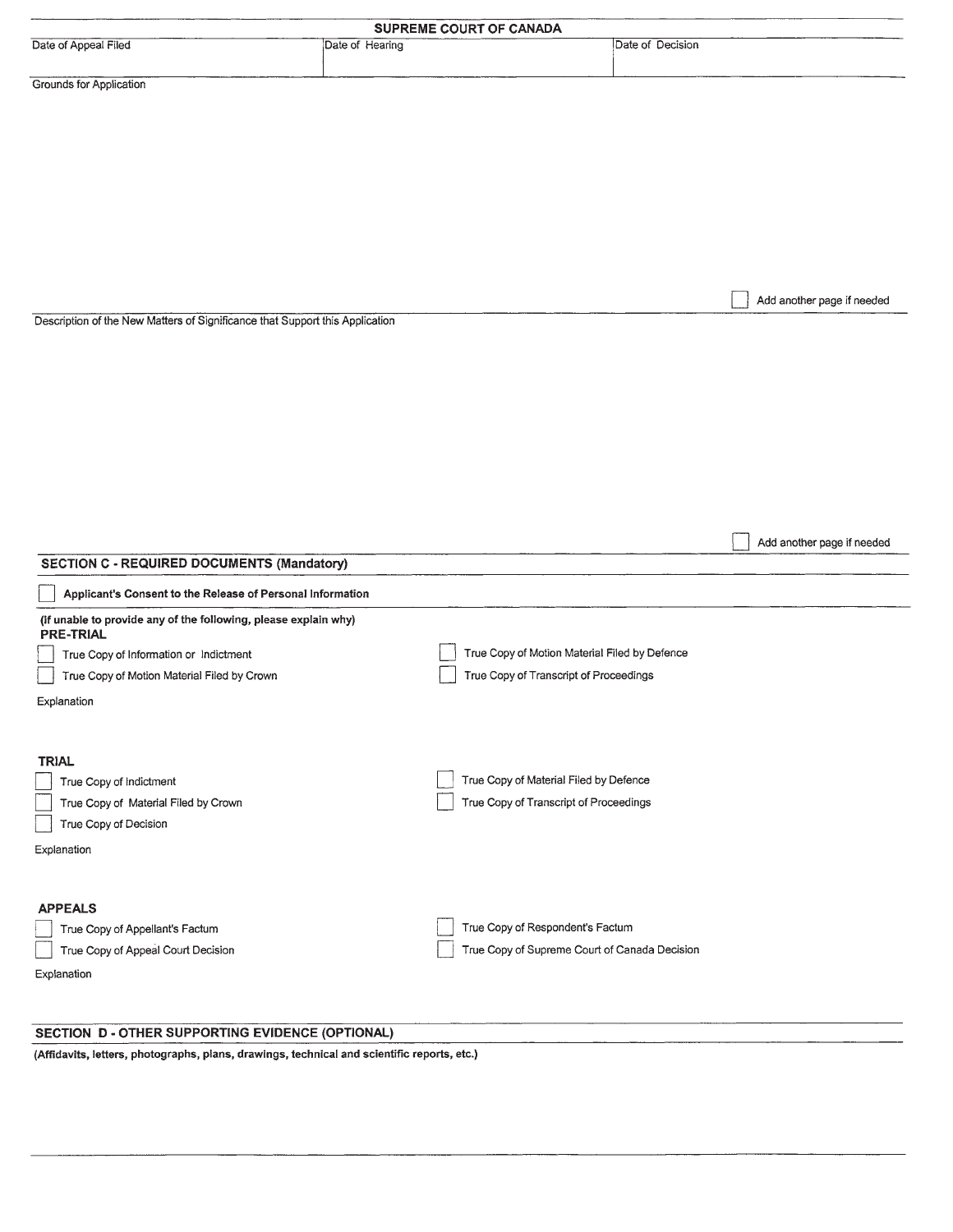|                                                                                                                                                                                             |                 | SUPREME COURT OF CANADA                                                                 |                  |                            |
|---------------------------------------------------------------------------------------------------------------------------------------------------------------------------------------------|-----------------|-----------------------------------------------------------------------------------------|------------------|----------------------------|
| Date of Appeal Filed                                                                                                                                                                        | Date of Hearing |                                                                                         | Date of Decision |                            |
| Grounds for Application                                                                                                                                                                     |                 |                                                                                         |                  |                            |
| Description of the New Matters of Significance that Support this Application                                                                                                                |                 |                                                                                         |                  | Add another page if needed |
|                                                                                                                                                                                             |                 |                                                                                         |                  |                            |
| <b>SECTION C - REQUIRED DOCUMENTS (Mandatory)</b><br>Applicant's Consent to the Release of Personal Information                                                                             |                 |                                                                                         |                  | Add another page if needed |
| (if unable to provide any of the following, please explain why)<br><b>PRE-TRIAL</b><br>True Copy of Information or Indictment<br>True Copy of Motion Material Filed by Crown<br>Explanation |                 | True Copy of Motion Material Filed by Defence<br>True Copy of Transcript of Proceedings |                  |                            |
| <b>TRIAL</b><br>True Copy of Indictment<br>True Copy of Material Filed by Crown<br>True Copy of Decision<br>Explanation                                                                     |                 | True Copy of Material Filed by Defence<br>True Copy of Transcript of Proceedings        |                  |                            |
| <b>APPEALS</b><br>True Copy of Appellant's Factum<br>True Copy of Appeal Court Decision<br>Explanation                                                                                      |                 | True Copy of Respondent's Factum<br>True Copy of Supreme Court of Canada Decision       |                  |                            |

#### SECTION D - OTHER SUPPORTING EVIDENCE (OPTIONAL)

(Affidavits, letters, photographs, plans, drawings, technical and scientific reports, etc.)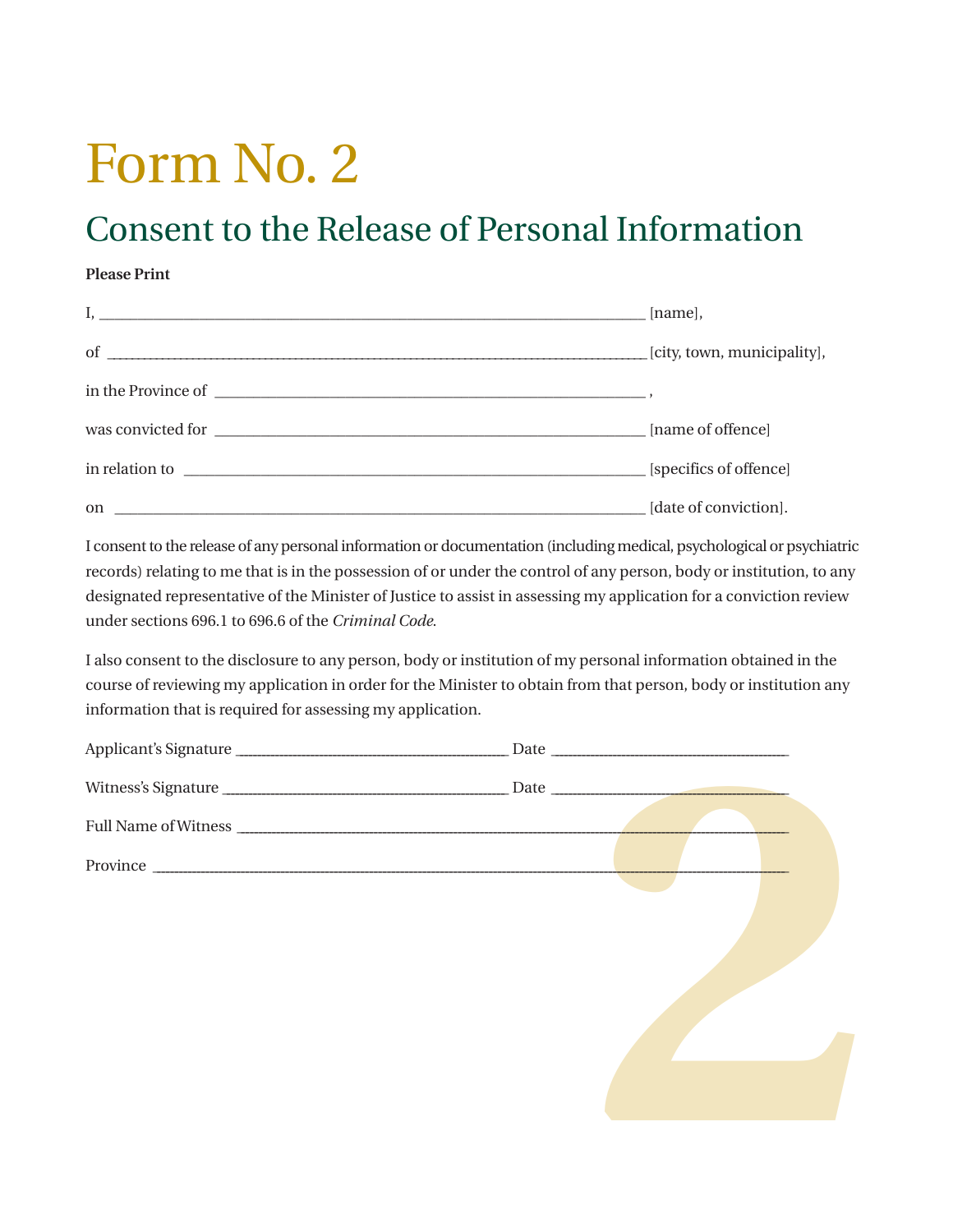# Form No. 2

# Consent to the Release of Personal Information

#### **Please Print**

|                             | [name],                     |
|-----------------------------|-----------------------------|
| of $\overline{\phantom{a}}$ | [city, town, municipality], |
|                             |                             |
|                             | [name of offence]           |
|                             | [specifics of offence]      |
| on $\overline{\phantom{a}}$ | [date of conviction].       |

I consent to the release of any personal information or documentation (including medical, psychological or psychiatric records) relating to me that is in the possession of or under the control of any person, body or institution, to any designated representative of the Minister of Justice to assist in assessing my application for a conviction review under sections 696.1 to 696.6 of the *Criminal Code*.

I also consent to the disclosure to any person, body or institution of my personal information obtained in the course of reviewing my application in order for the Minister to obtain from that person, body or institution any information that is required for assessing my application.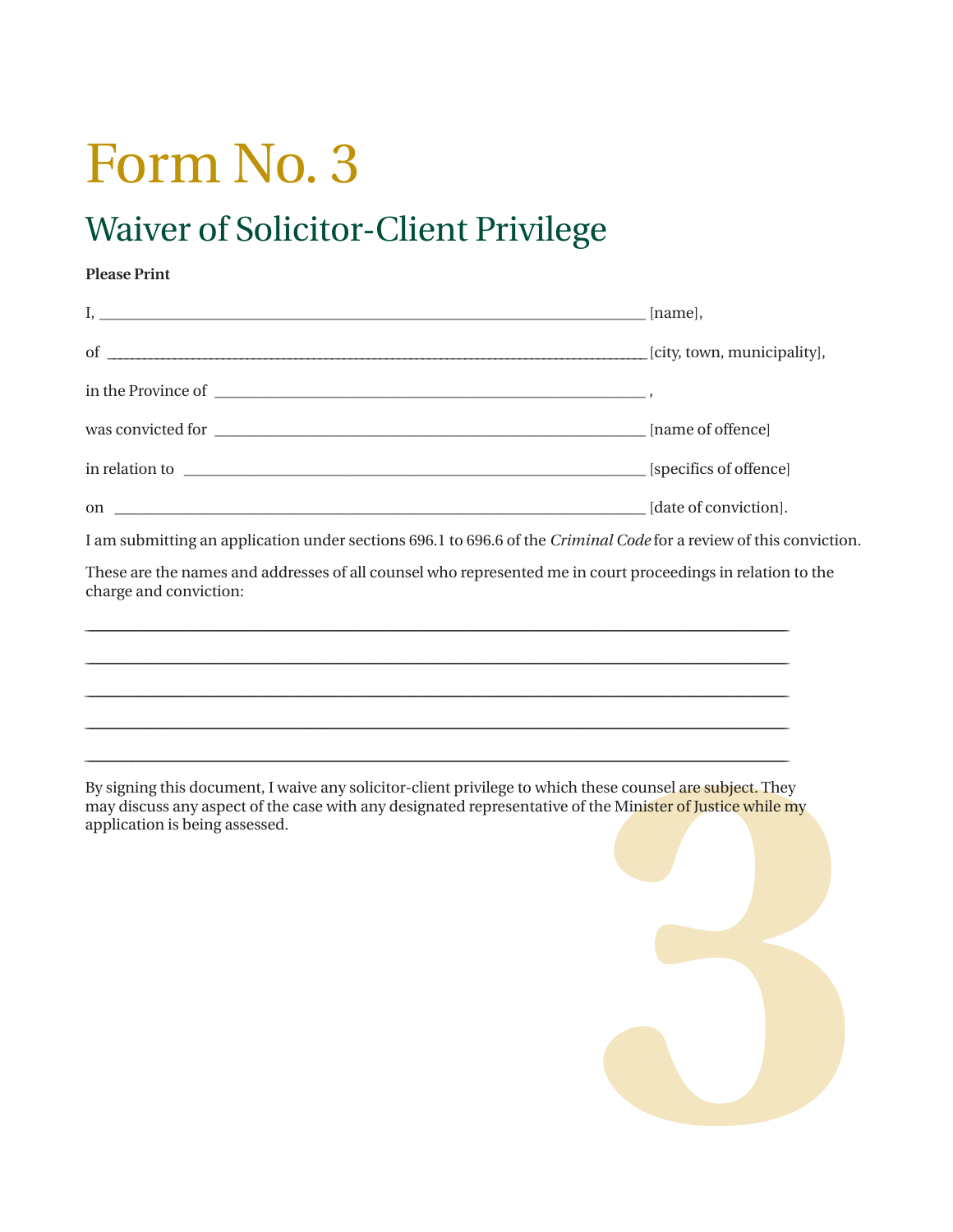# Form No. 3

# Waiver of Solicitor-Client Privilege

#### **Please Print**

| I am submitting an application under sections 696.1 to 696.6 of the Criminal Code for a review of this conviction                                                                                                                                |  |
|--------------------------------------------------------------------------------------------------------------------------------------------------------------------------------------------------------------------------------------------------|--|
| These are the names and addresses of all counsel who represented me in court proceedings in relation to the<br>charge and conviction:                                                                                                            |  |
|                                                                                                                                                                                                                                                  |  |
|                                                                                                                                                                                                                                                  |  |
| ,我们也不会有什么。""我们的人,我们也不会有什么?""我们的人,我们也不会有什么?""我们的人,我们也不会有什么?""我们的人,我们也不会有什么?""我们的人                                                                                                                                                                 |  |
|                                                                                                                                                                                                                                                  |  |
| By signing this document, I waive any solicitor-client privilege to which these counsel are subject. They<br>$\mathbf{a}$ and $\mathbf{a}$ and $\mathbf{a}$ and $\mathbf{a}$ and $\mathbf{a}$ and $\mathbf{a}$ and $\mathbf{a}$ and $\mathbf{a}$ |  |

may discuss any aspect of the case with any designated representative of the Minister of Justice while my application is being assessed.